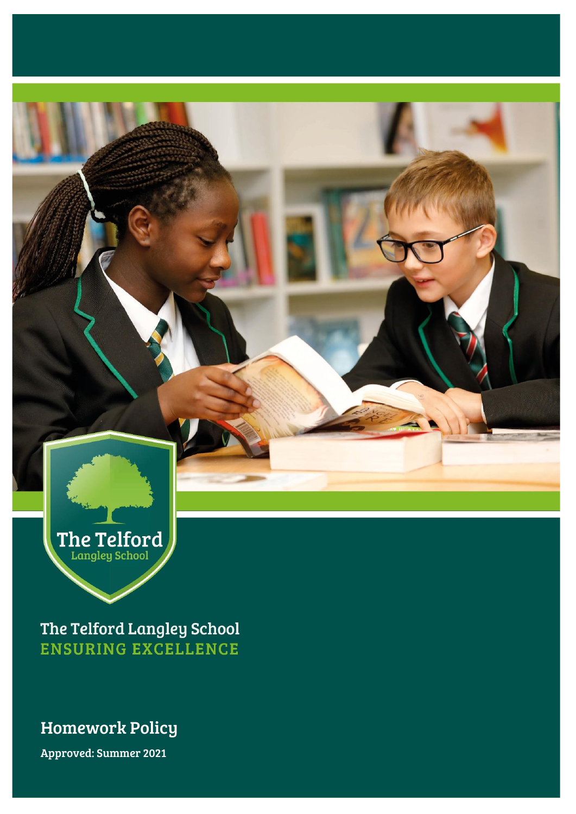

The Telford Langley School **ENSURING EXCELLENCE** 

# Homework Policy Homework Policy

Approved: Summer 2021 Approved: Summer 2021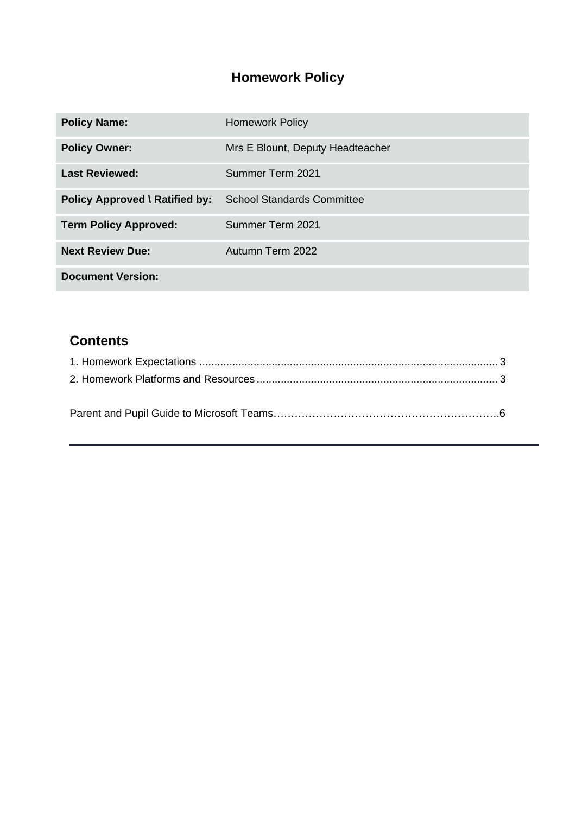# **Homework Policy**

| <b>Policy Name:</b>                   | <b>Homework Policy</b>            |
|---------------------------------------|-----------------------------------|
| <b>Policy Owner:</b>                  | Mrs E Blount, Deputy Headteacher  |
| <b>Last Reviewed:</b>                 | Summer Term 2021                  |
| <b>Policy Approved \ Ratified by:</b> | <b>School Standards Committee</b> |
| <b>Term Policy Approved:</b>          | Summer Term 2021                  |
| <b>Next Review Due:</b>               | Autumn Term 2022                  |
| <b>Document Version:</b>              |                                   |

# **Contents**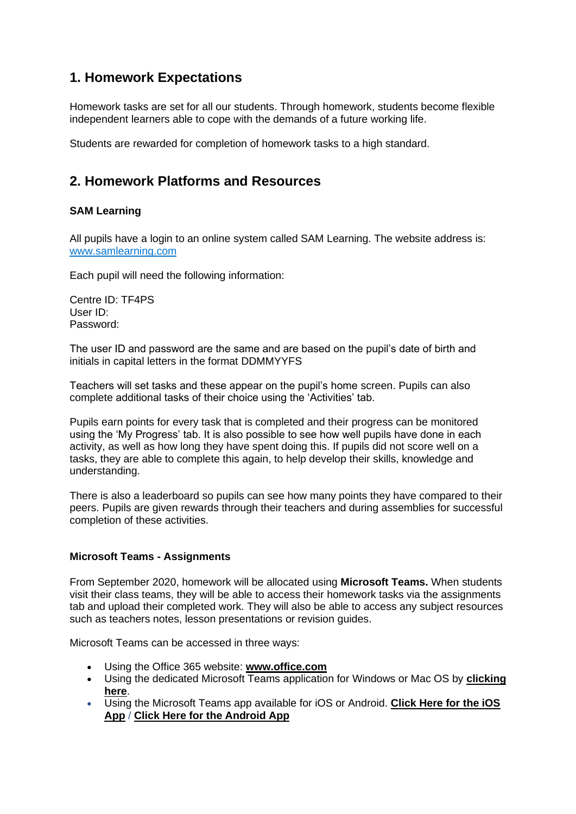## <span id="page-2-0"></span>**1. Homework Expectations**

Homework tasks are set for all our students. Through homework, students become flexible independent learners able to cope with the demands of a future working life.

Students are rewarded for completion of homework tasks to a high standard.

## <span id="page-2-1"></span>**2. Homework Platforms and Resources**

### **SAM Learning**

All pupils have a login to an online system called SAM Learning. The website address is: [www.samlearning.com](http://www.samlearning.com/)

Each pupil will need the following information:

Centre ID: TF4PS User ID: Password:

The user ID and password are the same and are based on the pupil's date of birth and initials in capital letters in the format DDMMYYFS

Teachers will set tasks and these appear on the pupil's home screen. Pupils can also complete additional tasks of their choice using the 'Activities' tab.

Pupils earn points for every task that is completed and their progress can be monitored using the 'My Progress' tab. It is also possible to see how well pupils have done in each activity, as well as how long they have spent doing this. If pupils did not score well on a tasks, they are able to complete this again, to help develop their skills, knowledge and understanding.

There is also a leaderboard so pupils can see how many points they have compared to their peers. Pupils are given rewards through their teachers and during assemblies for successful completion of these activities.

#### **Microsoft Teams - Assignments**

From September 2020, homework will be allocated using **Microsoft Teams.** When students visit their class teams, they will be able to access their homework tasks via the assignments tab and upload their completed work. They will also be able to access any subject resources such as teachers notes, lesson presentations or revision guides.

Microsoft Teams can be accessed in three ways:

- Using the Office 365 website: **[www.office.com](http://www.office.com/)**
- Using the dedicated Microsoft Teams application for Windows or Mac OS by **[clicking](https://www.microsoft.com/en-gb/microsoft-365/microsoft-teams/download-app)  [here](https://www.microsoft.com/en-gb/microsoft-365/microsoft-teams/download-app)**.
- Using the Microsoft Teams app available for iOS or Android. **[Click Here for the iOS](https://aka.ms/iosteams)  [App](https://aka.ms/iosteams)** / **[Click Here for the Android App](https://aka.ms/androidteams)**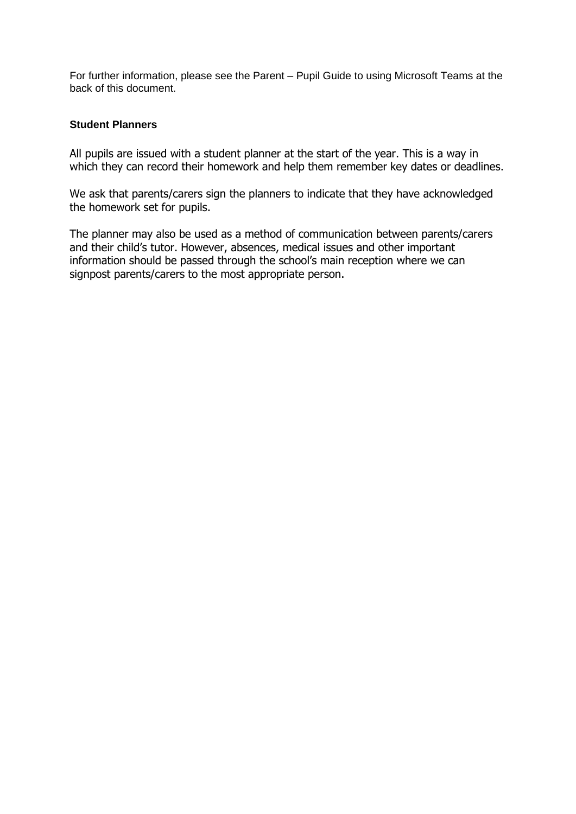For further information, please see the Parent – Pupil Guide to using Microsoft Teams at the back of this document.

#### **Student Planners**

All pupils are issued with a student planner at the start of the year. This is a way in which they can record their homework and help them remember key dates or deadlines.

We ask that parents/carers sign the planners to indicate that they have acknowledged the homework set for pupils.

The planner may also be used as a method of communication between parents/carers and their child's tutor. However, absences, medical issues and other important information should be passed through the school's main reception where we can signpost parents/carers to the most appropriate person.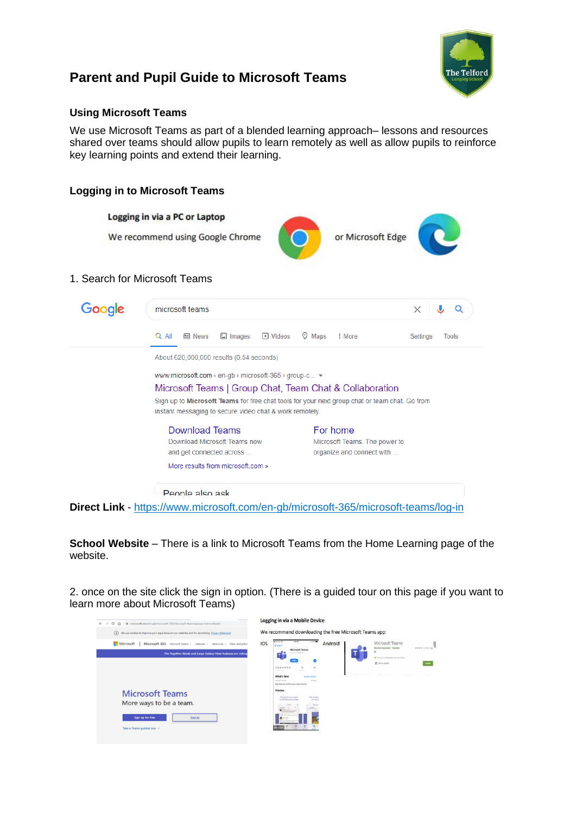

## **Parent and Pupil Guide to Microsoft Teams**

### **Using Microsoft Teams**

We use Microsoft Teams as part of a blended learning approach– lessons and resources shared over teams should allow pupils to learn remotely as well as allow pupils to reinforce key learning points and extend their learning.

### **Logging in to Microsoft Teams**



**School Website** – There is a link to Microsoft Teams from the Home Learning page of the website.

2. once on the site click the sign in option. (There is a guided tour on this page if you want to learn more about Microsoft Teams)

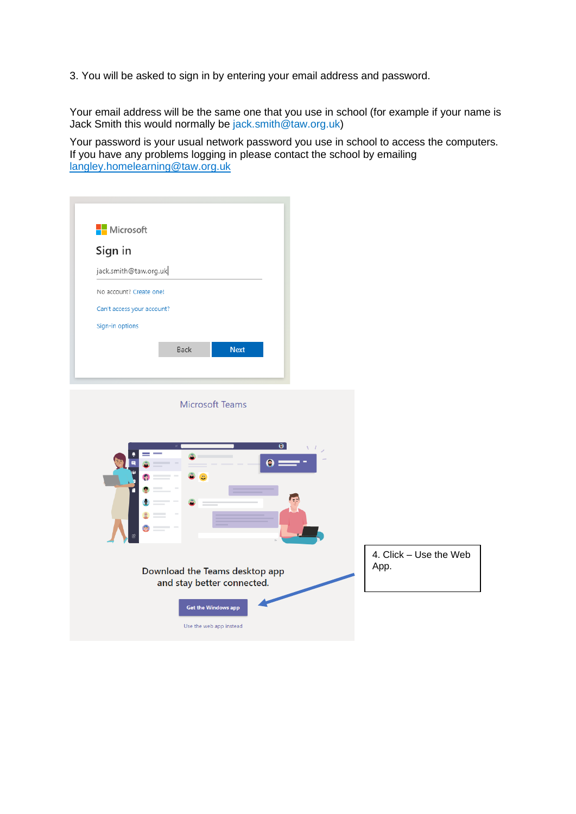3. You will be asked to sign in by entering your email address and password.

Your email address will be the same one that you use in school (for example if your name is Jack Smith this would normally be [jack.smith@taw.org.uk\)](mailto:jack.smith@taw.org.uk)

Your password is your usual network password you use in school to access the computers. If you have any problems logging in please contact the school by emailing [langley.homelearning@taw.org.uk](mailto:langley.homelearning@taw.org.uk)

|                        | $\bullet$                      |   |
|------------------------|--------------------------------|---|
|                        |                                |   |
|                        |                                |   |
|                        |                                |   |
|                        |                                |   |
|                        |                                |   |
|                        |                                |   |
|                        |                                |   |
|                        |                                |   |
|                        |                                |   |
|                        |                                |   |
|                        |                                |   |
|                        |                                | Θ |
|                        |                                |   |
|                        | ÆÑ                             |   |
|                        |                                |   |
|                        |                                |   |
| 4. Click - Use the Web |                                |   |
| App.                   | Download the Teams desktop app |   |
|                        | and stay better connected.     |   |
|                        |                                |   |
|                        |                                |   |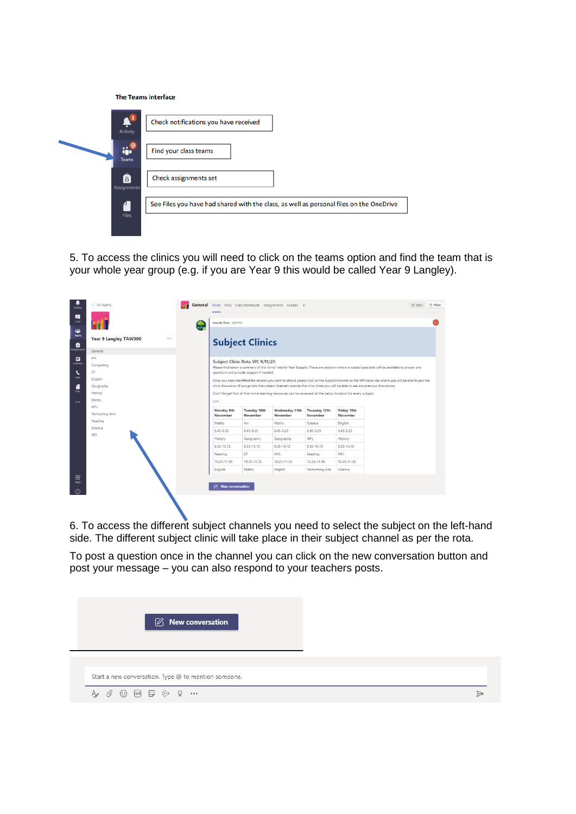|  | <b>The Teams interface</b> |  |
|--|----------------------------|--|
|  |                            |  |

| Activity                            | Check notifications you have received                                                   |
|-------------------------------------|-----------------------------------------------------------------------------------------|
| $\ddot{\mathbf{u}}$<br><b>Teams</b> | Find your class teams                                                                   |
| Â<br>Assignments                    | Check assignments set                                                                   |
| Files                               | See Files you have had shared with the class, as well as personal files on the OneDrive |

5. To access the clinics you will need to click on the teams option and find the team that is your whole year group (e.g. if you are Year 9 this would be called Year 9 Langley).

| <b>Activity</b><br>國                          | All teams                                                           |           |                                                                                                                                                                                                                                                                                                                                                                                                                                                                                                                                                                                                                                                    |                          | General Posts Files Class Notebook Assignments Grades + |                           |                         |  | @ Team | O Meet |
|-----------------------------------------------|---------------------------------------------------------------------|-----------|----------------------------------------------------------------------------------------------------------------------------------------------------------------------------------------------------------------------------------------------------------------------------------------------------------------------------------------------------------------------------------------------------------------------------------------------------------------------------------------------------------------------------------------------------------------------------------------------------------------------------------------------------|--------------------------|---------------------------------------------------------|---------------------------|-------------------------|--|--------|--------|
| <b>Chat</b><br>帯<br>Teams                     |                                                                     | the Early | Hewitt, Paul 2:49 PM                                                                                                                                                                                                                                                                                                                                                                                                                                                                                                                                                                                                                               |                          |                                                         |                           |                         |  |        |        |
| e<br>cognment                                 | Year 9 Langley TAW300<br><br>General                                |           | <b>Subject Clinics</b>                                                                                                                                                                                                                                                                                                                                                                                                                                                                                                                                                                                                                             |                          |                                                         |                           |                         |  |        |        |
| ₩<br>Calendar<br>L<br>Calls<br>Ŧ<br>Files<br> | Art.<br>Computing<br>DT<br>English<br>Geography<br>History<br>Maths |           | Subject Clinic Rota WC 9/11/20<br>Please find below a summary of the 'clinic' rota for Year 9 pupils. These are sessions where a subject specialist will be available to answer any<br>questions and provide support if needed.<br>Once you have identified the session you want to attend please click on the subject channel on the left hand side where you will be able to join the<br>clinic discussion. If you go into the subject channels outside the clinic times you will be able to see any previous discussions.<br>Don't forget that all the home learning resources can be accessed at the below location for every subject.<br>Link |                          |                                                         |                           |                         |  |        |        |
|                                               | MFL<br>Perfroming Arts                                              |           | Monday 9th<br>November                                                                                                                                                                                                                                                                                                                                                                                                                                                                                                                                                                                                                             | Tuesday 10th<br>November | Wednesday 11th<br>November                              | Thursday 12th<br>November | Friday 13th<br>November |  |        |        |
|                                               | Reading                                                             |           | Maths                                                                                                                                                                                                                                                                                                                                                                                                                                                                                                                                                                                                                                              | Art                      | Maths                                                   | Science                   | English                 |  |        |        |
|                                               | Science<br>SRE                                                      |           | 8.45-9.25                                                                                                                                                                                                                                                                                                                                                                                                                                                                                                                                                                                                                                          | 8.45-9.25                | 8,45-9.25                                               | $8.45 - 9.25$             | 8.45-9.25               |  |        |        |
|                                               |                                                                     |           | History                                                                                                                                                                                                                                                                                                                                                                                                                                                                                                                                                                                                                                            | Geography                | Geography                                               | MFL                       | History                 |  |        |        |
|                                               |                                                                     |           | 9.35-10.15                                                                                                                                                                                                                                                                                                                                                                                                                                                                                                                                                                                                                                         | 9.35-10.15               | 9.35-10.15                                              | 9.35-10.15                | 9.35-10.15              |  |        |        |
|                                               |                                                                     |           | Reading                                                                                                                                                                                                                                                                                                                                                                                                                                                                                                                                                                                                                                            | DT.                      | MFL                                                     | Reading                   | MFL                     |  |        |        |
|                                               |                                                                     |           | $10.25 - 11.30$                                                                                                                                                                                                                                                                                                                                                                                                                                                                                                                                                                                                                                    | 10.25-11.30              | 10.25-11.30                                             | 10.25-11.30               | 10.25-11.30             |  |        |        |
|                                               |                                                                     |           | English                                                                                                                                                                                                                                                                                                                                                                                                                                                                                                                                                                                                                                            | Maths                    | English                                                 | Performing Arts           | Science                 |  |        |        |
| 田<br>Apps                                     |                                                                     |           | $[2]$ New conversation                                                                                                                                                                                                                                                                                                                                                                                                                                                                                                                                                                                                                             |                          |                                                         |                           |                         |  |        |        |

6. To access the different subject channels you need to select the subject on the left-hand side. The different subject clinic will take place in their subject channel as per the rota.

To post a question once in the channel you can click on the new conversation button and post your message – you can also respond to your teachers posts.

| $\varnothing$ New conversation                       |  |
|------------------------------------------------------|--|
| Start a new conversation. Type @ to mention someone. |  |
|                                                      |  |